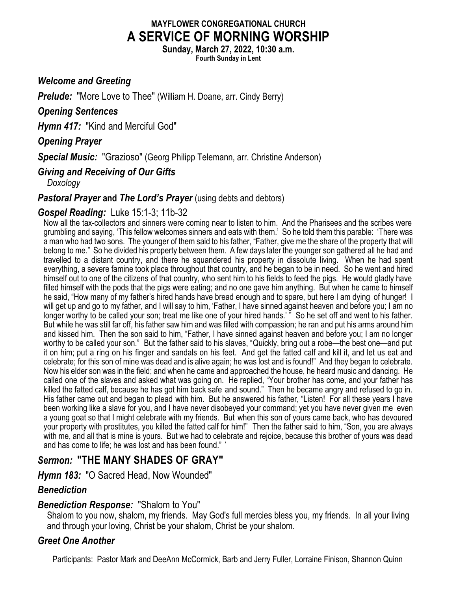# **MAYFLOWER CONGREGATIONAL CHURCH A SERVICE OF MORNING WORSHIP**

**Sunday, March 27, 2022, 10:30 a.m.**

**Fourth Sunday in Lent**

#### *Welcome and Greeting*

*Prelude:* "More Love to Thee" (William H. Doane, arr. Cindy Berry)

#### *Opening Sentences*

*Hymn 417:* "Kind and Merciful God"

## *Opening Prayer*

*Special Music:* "Grazioso" (Georg Philipp Telemann, arr. Christine Anderson)

### *Giving and Receiving of Our Gifts*

*Doxology*

### **Pastoral Prayer and The Lord's Prayer** (using debts and debtors)

### *Gospel Reading:* Luke 15:1-3; 11b-32

Now all the tax-collectors and sinners were coming near to listen to him. And the Pharisees and the scribes were grumbling and saying, 'This fellow welcomes sinners and eats with them.' So he told them this parable: 'There was a man who had two sons. The younger of them said to his father, "Father, give me the share of the property that will belong to me." So he divided his property between them. A few days later the younger son gathered all he had and travelled to a distant country, and there he squandered his property in dissolute living. When he had spent everything, a severe famine took place throughout that country, and he began to be in need. So he went and hired himself out to one of the citizens of that country, who sent him to his fields to feed the pigs. He would gladly have filled himself with the pods that the pigs were eating; and no one gave him anything. But when he came to himself he said, "How many of my father's hired hands have bread enough and to spare, but here I am dying of hunger! I will get up and go to my father, and I will say to him, 'Father, I have sinned against heaven and before you; I am no longer worthy to be called your son; treat me like one of your hired hands.'" So he set off and went to his father. But while he was still far off, his father saw him and was filled with compassion; he ran and put his arms around him and kissed him. Then the son said to him, "Father, I have sinned against heaven and before you; I am no longer worthy to be called your son." But the father said to his slaves, "Quickly, bring out a robe—the best one—and put it on him; put a ring on his finger and sandals on his feet. And get the fatted calf and kill it, and let us eat and celebrate; for this son of mine was dead and is alive again; he was lost and is found!" And they began to celebrate. Now his elder son was in the field; and when he came and approached the house, he heard music and dancing. He called one of the slaves and asked what was going on. He replied, "Your brother has come, and your father has killed the fatted calf, because he has got him back safe and sound." Then he became angry and refused to go in. His father came out and began to plead with him. But he answered his father, "Listen! For all these years I have been working like a slave for you, and I have never disobeyed your command; yet you have never given me even a young goat so that I might celebrate with my friends. But when this son of yours came back, who has devoured your property with prostitutes, you killed the fatted calf for him!" Then the father said to him, "Son, you are always with me, and all that is mine is yours. But we had to celebrate and rejoice, because this brother of yours was dead and has come to life; he was lost and has been found."

# *Sermon:* **"THE MANY SHADES OF GRAY"**

*Hymn 183:* "O Sacred Head, Now Wounded"

### *Benediction*

#### *Benediction Response:* "Shalom to You"

Shalom to you now, shalom, my friends. May God's full mercies bless you, my friends. In all your living and through your loving, Christ be your shalom, Christ be your shalom.

### *Greet One Another*

Participants: Pastor Mark and DeeAnn McCormick, Barb and Jerry Fuller, Lorraine Finison, Shannon Quinn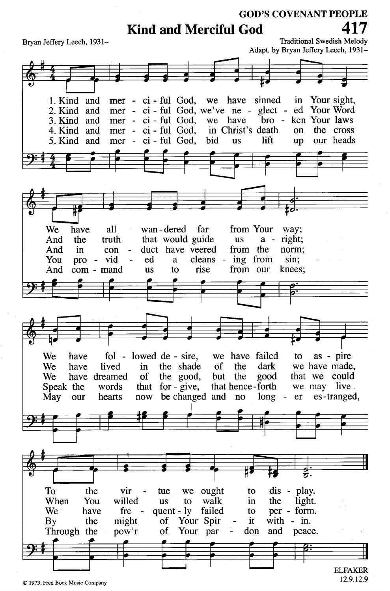**GOD'S COVENANT PEOPLE Kind and Merciful God** 

Bryan Jeffery Leech, 1931-



C 1973, Fred Bock Music Company

**ELFAKER** 12.9.12.9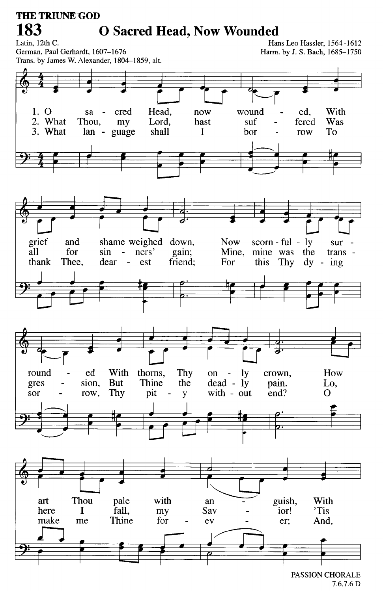

PASSION CHORALE  $7.6.7.6 D$